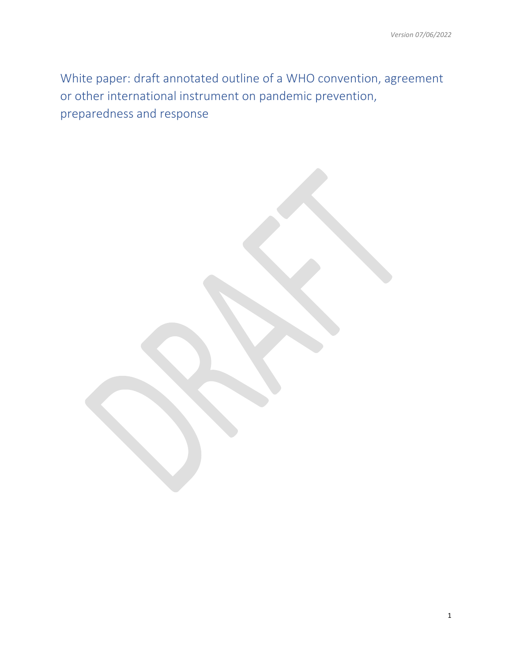White paper: draft annotated outline of a WHO convention, agreement or other international instrument on pandemic prevention, preparedness and response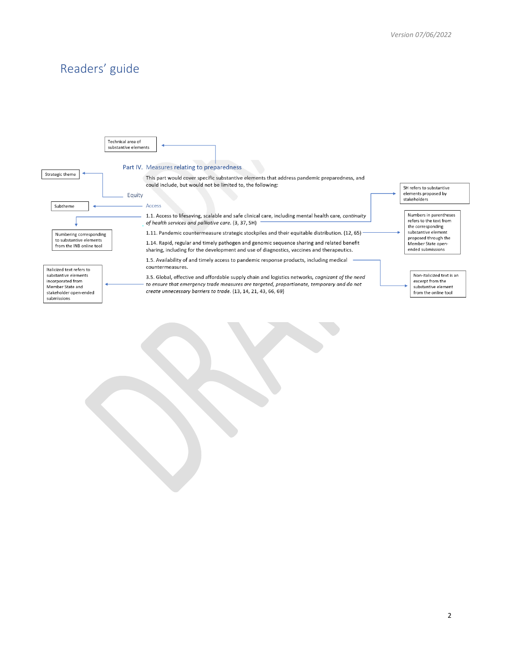# Readers' guide

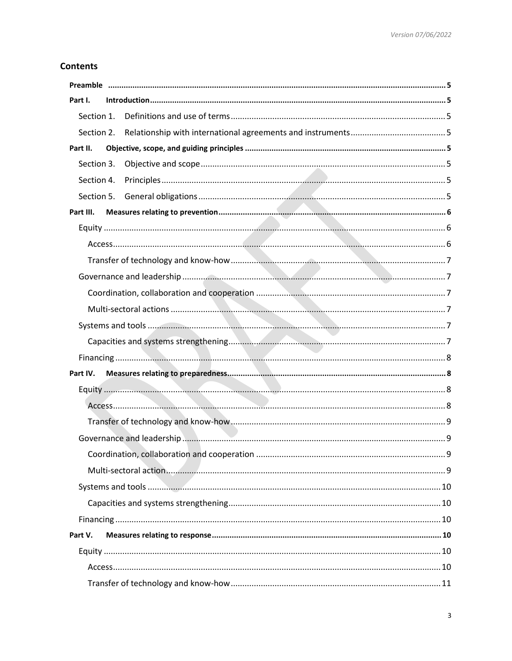# **Contents**

| Part I.    |  |
|------------|--|
| Section 1. |  |
|            |  |
| Part II.   |  |
| Section 3. |  |
| Section 4. |  |
|            |  |
| Part III.  |  |
|            |  |
|            |  |
|            |  |
|            |  |
|            |  |
|            |  |
|            |  |
|            |  |
|            |  |
| Part IV.   |  |
|            |  |
|            |  |
|            |  |
|            |  |
|            |  |
|            |  |
|            |  |
|            |  |
|            |  |
| Part V.    |  |
|            |  |
|            |  |
|            |  |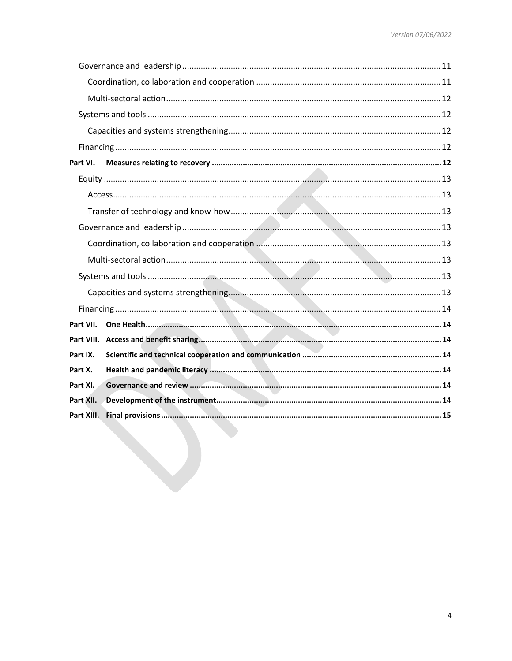| Part VI.   |  |
|------------|--|
|            |  |
|            |  |
|            |  |
|            |  |
|            |  |
|            |  |
|            |  |
|            |  |
|            |  |
| Part VII.  |  |
|            |  |
| Part IX.   |  |
| Part X.    |  |
| Part XI.   |  |
| Part XII.  |  |
| Part XIII. |  |
|            |  |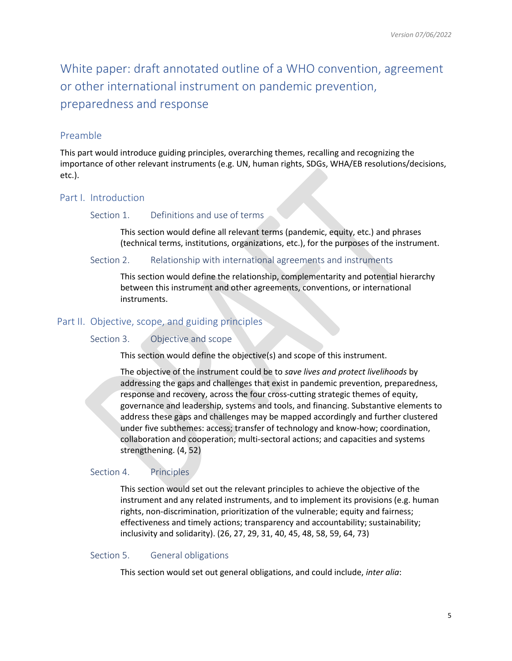White paper: draft annotated outline of a WHO convention, agreement or other international instrument on pandemic prevention, preparedness and response

# <span id="page-4-0"></span>Preamble

This part would introduce guiding principles, overarching themes, recalling and recognizing the importance of other relevant instruments (e.g. UN, human rights, SDGs, WHA/EB resolutions/decisions, etc.).

# <span id="page-4-2"></span><span id="page-4-1"></span>Part I. Introduction

# Section 1. Definitions and use of terms

This section would define all relevant terms (pandemic, equity, etc.) and phrases (technical terms, institutions, organizations, etc.), for the purposes of the instrument.

### <span id="page-4-3"></span>Section 2. Relationship with international agreements and instruments

This section would define the relationship, complementarity and potential hierarchy between this instrument and other agreements, conventions, or international instruments.

# <span id="page-4-5"></span><span id="page-4-4"></span>Part II. Objective, scope, and guiding principles

# Section 3. Objective and scope

This section would define the objective(s) and scope of this instrument.

The objective of the instrument could be to *save lives and protect livelihoods* by addressing the gaps and challenges that exist in pandemic prevention, preparedness, response and recovery, across the four cross-cutting strategic themes of equity, governance and leadership, systems and tools, and financing. Substantive elements to address these gaps and challenges may be mapped accordingly and further clustered under five subthemes: access; transfer of technology and know-how; coordination, collaboration and cooperation; multi-sectoral actions; and capacities and systems strengthening. (4, 52)

# <span id="page-4-6"></span>Section 4. Principles

This section would set out the relevant principles to achieve the objective of the instrument and any related instruments, and to implement its provisions (e.g. human rights, non-discrimination, prioritization of the vulnerable; equity and fairness; effectiveness and timely actions; transparency and accountability; sustainability; inclusivity and solidarity). (26, 27, 29, 31, 40, 45, 48, 58, 59, 64, 73)

# <span id="page-4-7"></span>Section 5. General obligations

This section would set out general obligations, and could include, *inter alia*: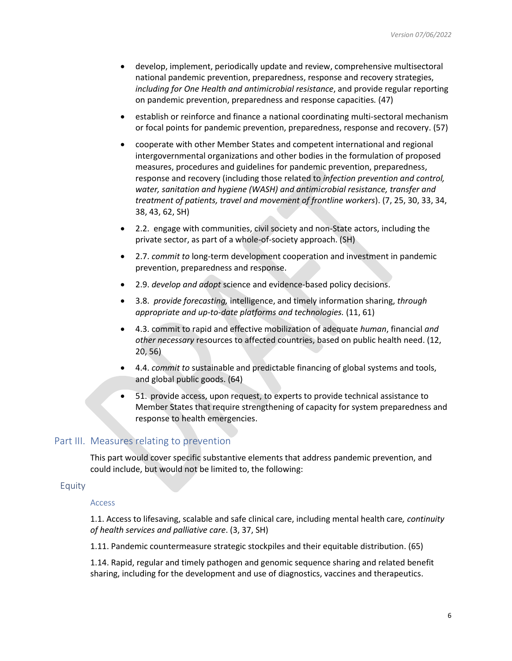- develop, implement, periodically update and review, comprehensive multisectoral national pandemic prevention, preparedness, response and recovery strategies, *including for One Health and antimicrobial resistance*, and provide regular reporting on pandemic prevention, preparedness and response capacities*.* (47)
- establish or reinforce and finance a national coordinating multi-sectoral mechanism or focal points for pandemic prevention, preparedness, response and recovery. (57)
- cooperate with other Member States and competent international and regional intergovernmental organizations and other bodies in the formulation of proposed measures, procedures and guidelines for pandemic prevention, preparedness, response and recovery (including those related to *infection prevention and control, water, sanitation and hygiene (WASH) and antimicrobial resistance, transfer and treatment of patients, travel and movement of frontline workers*). (7, 25, 30, 33, 34, 38, 43, 62, SH)
- 2.2. engage with communities, civil society and non-State actors, including the private sector, as part of a whole-of-society approach. (SH)
- 2.7. *commit to* long-term development cooperation and investment in pandemic prevention, preparedness and response.
- 2.9. *develop and adopt* science and evidence-based policy decisions.
- 3.8. *provide forecasting,* intelligence, and timely information sharing, *through appropriate and up-to-date platforms and technologies.* (11, 61)
- 4.3. commit to rapid and effective mobilization of adequate *human*, financial *and other necessary* resources to affected countries, based on public health need. (12, 20, 56)
- 4.4. *commit to* sustainable and predictable financing of global systems and tools, and global public goods. (64)
- 51. provide access, upon request, to experts to provide technical assistance to Member States that require strengthening of capacity for system preparedness and response to health emergencies.

# <span id="page-5-0"></span>Part III. Measures relating to prevention

This part would cover specific substantive elements that address pandemic prevention, and could include, but would not be limited to, the following:

# <span id="page-5-2"></span><span id="page-5-1"></span>Equity

#### Access

1.1. Access to lifesaving, scalable and safe clinical care, including mental health care*, continuity of health services and palliative care*. (3, 37, SH)

1.11. Pandemic countermeasure strategic stockpiles and their equitable distribution. (65)

1.14. Rapid, regular and timely pathogen and genomic sequence sharing and related benefit sharing, including for the development and use of diagnostics, vaccines and therapeutics.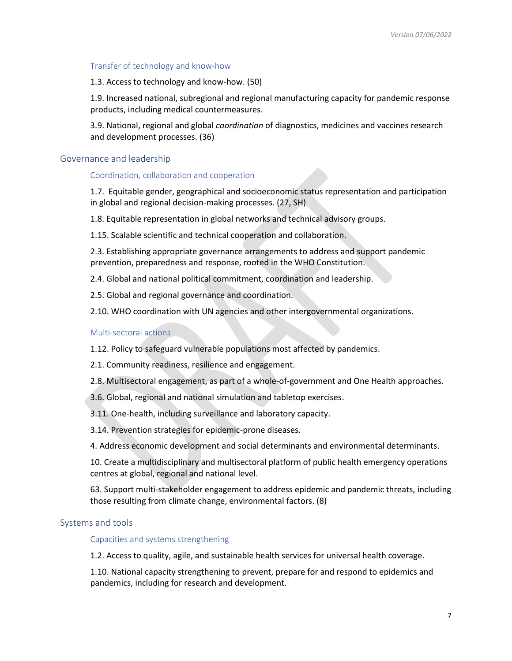### <span id="page-6-0"></span>Transfer of technology and know-how

1.3. Access to technology and know-how. (50)

1.9. Increased national, subregional and regional manufacturing capacity for pandemic response products, including medical countermeasures.

3.9. National, regional and global *coordination* of diagnostics, medicines and vaccines research and development processes. (36)

#### <span id="page-6-2"></span><span id="page-6-1"></span>Governance and leadership

#### Coordination, collaboration and cooperation

1.7. Equitable gender, geographical and socioeconomic status representation and participation in global and regional decision-making processes. (27, SH)

1.8. Equitable representation in global networks and technical advisory groups.

1.15. Scalable scientific and technical cooperation and collaboration.

2.3. Establishing appropriate governance arrangements to address and support pandemic prevention, preparedness and response, rooted in the WHO Constitution.

2.4. Global and national political commitment, coordination and leadership.

2.5. Global and regional governance and coordination.

2.10. WHO coordination with UN agencies and other intergovernmental organizations.

#### <span id="page-6-3"></span>Multi-sectoral actions

1.12. Policy to safeguard vulnerable populations most affected by pandemics.

2.1. Community readiness, resilience and engagement.

2.8. Multisectoral engagement, as part of a whole-of-government and One Health approaches.

3.6. Global, regional and national simulation and tabletop exercises.

3.11. One-health, including surveillance and laboratory capacity.

3.14. Prevention strategies for epidemic-prone diseases.

4. Address economic development and social determinants and environmental determinants.

10. Create a multidisciplinary and multisectoral platform of public health emergency operations centres at global, regional and national level.

63. Support multi-stakeholder engagement to address epidemic and pandemic threats, including those resulting from climate change, environmental factors. (8)

# <span id="page-6-5"></span><span id="page-6-4"></span>Systems and tools

Capacities and systems strengthening

1.2. Access to quality, agile, and sustainable health services for universal health coverage.

1.10. National capacity strengthening to prevent, prepare for and respond to epidemics and pandemics, including for research and development.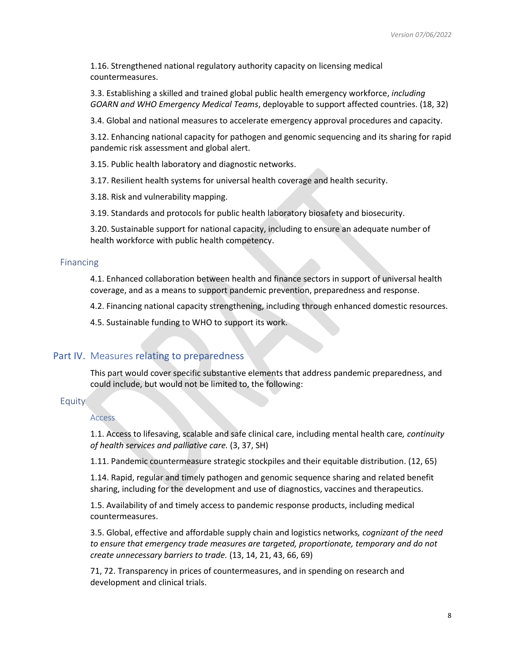1.16. Strengthened national regulatory authority capacity on licensing medical countermeasures.

3.3. Establishing a skilled and trained global public health emergency workforce, *including GOARN and WHO Emergency Medical Teams*, deployable to support affected countries. (18, 32)

3.4. Global and national measures to accelerate emergency approval procedures and capacity.

3.12. Enhancing national capacity for pathogen and genomic sequencing and its sharing for rapid pandemic risk assessment and global alert.

3.15. Public health laboratory and diagnostic networks.

3.17. Resilient health systems for universal health coverage and health security.

3.18. Risk and vulnerability mapping.

3.19. Standards and protocols for public health laboratory biosafety and biosecurity.

3.20. Sustainable support for national capacity, including to ensure an adequate number of health workforce with public health competency.

#### <span id="page-7-0"></span>Financing

4.1. Enhanced collaboration between health and finance sectors in support of universal health coverage, and as a means to support pandemic prevention, preparedness and response.

4.2. Financing national capacity strengthening, including through enhanced domestic resources.

4.5. Sustainable funding to WHO to support its work.

# <span id="page-7-1"></span>Part IV. Measures relating to preparedness

This part would cover specific substantive elements that address pandemic preparedness, and could include, but would not be limited to, the following:

# <span id="page-7-3"></span><span id="page-7-2"></span>Equity

#### Access

1.1. Access to lifesaving, scalable and safe clinical care, including mental health care*, continuity of health services and palliative care.* (3, 37, SH)

1.11. Pandemic countermeasure strategic stockpiles and their equitable distribution. (12, 65)

1.14. Rapid, regular and timely pathogen and genomic sequence sharing and related benefit sharing, including for the development and use of diagnostics, vaccines and therapeutics.

1.5. Availability of and timely access to pandemic response products, including medical countermeasures.

3.5. Global, effective and affordable supply chain and logistics networks*, cognizant of the need to ensure that emergency trade measures are targeted, proportionate, temporary and do not create unnecessary barriers to trade.* (13, 14, 21, 43, 66, 69)

71, 72. Transparency in prices of countermeasures, and in spending on research and development and clinical trials.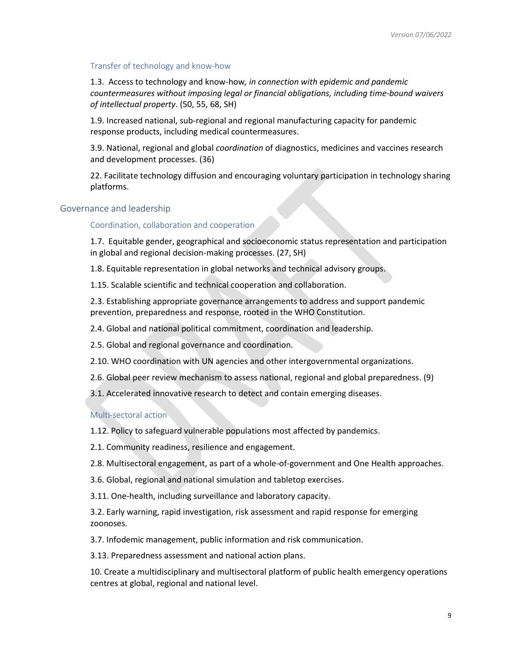### <span id="page-8-0"></span>Transfer of technology and know-how

1.3. Access to technology and know-how*, in connection with epidemic and pandemic countermeasures without imposing legal or financial obligations, including time-bound waivers of intellectual property*. (50, 55, 68, SH)

1.9. Increased national, sub-regional and regional manufacturing capacity for pandemic response products, including medical countermeasures.

3.9. National, regional and global *coordination* of diagnostics, medicines and vaccines research and development processes. (36)

22. Facilitate technology diffusion and encouraging voluntary participation in technology sharing platforms.

# <span id="page-8-2"></span><span id="page-8-1"></span>Governance and leadership

Coordination, collaboration and cooperation

1.7. Equitable gender, geographical and socioeconomic status representation and participation in global and regional decision-making processes. (27, SH)

1.8. Equitable representation in global networks and technical advisory groups.

1.15. Scalable scientific and technical cooperation and collaboration.

2.3. Establishing appropriate governance arrangements to address and support pandemic prevention, preparedness and response, rooted in the WHO Constitution.

2.4. Global and national political commitment, coordination and leadership.

2.5. Global and regional governance and coordination.

2.10. WHO coordination with UN agencies and other intergovernmental organizations.

2.6. Global peer review mechanism to assess national, regional and global preparedness. (9)

3.1. Accelerated innovative research to detect and contain emerging diseases.

#### <span id="page-8-3"></span>Multi-sectoral action

1.12. Policy to safeguard vulnerable populations most affected by pandemics.

2.1. Community readiness, resilience and engagement.

2.8. Multisectoral engagement, as part of a whole-of-government and One Health approaches.

3.6. Global, regional and national simulation and tabletop exercises.

3.11. One-health, including surveillance and laboratory capacity.

3.2. Early warning, rapid investigation, risk assessment and rapid response for emerging zoonoses.

3.7. Infodemic management, public information and risk communication.

3.13. Preparedness assessment and national action plans.

10. Create a multidisciplinary and multisectoral platform of public health emergency operations centres at global, regional and national level.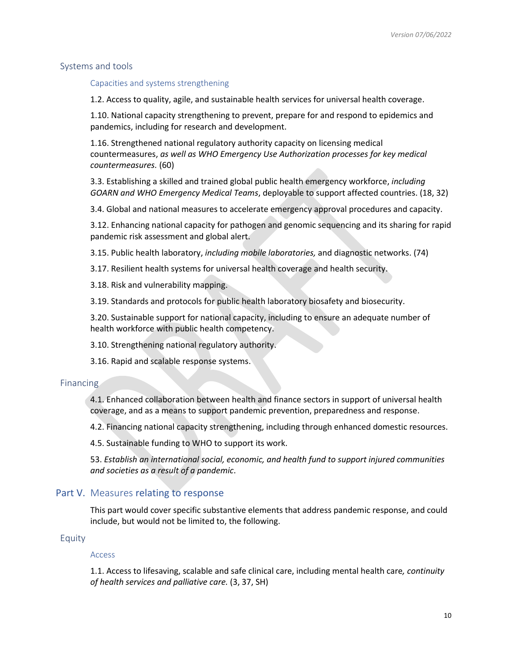### <span id="page-9-1"></span><span id="page-9-0"></span>Systems and tools

### Capacities and systems strengthening

1.2. Access to quality, agile, and sustainable health services for universal health coverage.

1.10. National capacity strengthening to prevent, prepare for and respond to epidemics and pandemics, including for research and development.

1.16. Strengthened national regulatory authority capacity on licensing medical countermeasures, *as well as WHO Emergency Use Authorization processes for key medical countermeasures.* (60)

3.3. Establishing a skilled and trained global public health emergency workforce, *including GOARN and WHO Emergency Medical Teams*, deployable to support affected countries. (18, 32)

3.4. Global and national measures to accelerate emergency approval procedures and capacity.

3.12. Enhancing national capacity for pathogen and genomic sequencing and its sharing for rapid pandemic risk assessment and global alert.

3.15. Public health laboratory, *including mobile laboratories,* and diagnostic networks. (74)

3.17. Resilient health systems for universal health coverage and health security.

3.18. Risk and vulnerability mapping.

3.19. Standards and protocols for public health laboratory biosafety and biosecurity.

3.20. Sustainable support for national capacity, including to ensure an adequate number of health workforce with public health competency.

3.10. Strengthening national regulatory authority.

3.16. Rapid and scalable response systems.

### <span id="page-9-2"></span>Financing

4.1. Enhanced collaboration between health and finance sectors in support of universal health coverage, and as a means to support pandemic prevention, preparedness and response.

4.2. Financing national capacity strengthening, including through enhanced domestic resources.

4.5. Sustainable funding to WHO to support its work.

53. *Establish an international social, economic, and health fund to support injured communities and societies as a result of a pandemic*.

# <span id="page-9-3"></span>Part V. Measures relating to response

This part would cover specific substantive elements that address pandemic response, and could include, but would not be limited to, the following.

#### <span id="page-9-5"></span><span id="page-9-4"></span>Equity

#### Access

1.1. Access to lifesaving, scalable and safe clinical care, including mental health care*, continuity of health services and palliative care.* (3, 37, SH)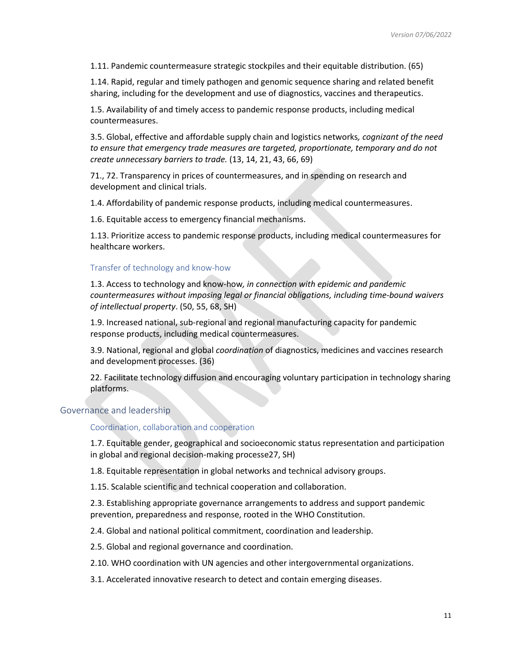1.11. Pandemic countermeasure strategic stockpiles and their equitable distribution. (65)

1.14. Rapid, regular and timely pathogen and genomic sequence sharing and related benefit sharing, including for the development and use of diagnostics, vaccines and therapeutics.

1.5. Availability of and timely access to pandemic response products, including medical countermeasures.

3.5. Global, effective and affordable supply chain and logistics networks*, cognizant of the need to ensure that emergency trade measures are targeted, proportionate, temporary and do not create unnecessary barriers to trade.* (13, 14, 21, 43, 66, 69)

71., 72. Transparency in prices of countermeasures, and in spending on research and development and clinical trials.

1.4. Affordability of pandemic response products, including medical countermeasures.

1.6. Equitable access to emergency financial mechanisms.

1.13. Prioritize access to pandemic response products, including medical countermeasures for healthcare workers.

### <span id="page-10-0"></span>Transfer of technology and know-how

1.3. Access to technology and know-how*, in connection with epidemic and pandemic countermeasures without imposing legal or financial obligations, including time-bound waivers of intellectual property*. (50, 55, 68, SH)

1.9. Increased national, sub-regional and regional manufacturing capacity for pandemic response products, including medical countermeasures.

3.9. National, regional and global *coordination* of diagnostics, medicines and vaccines research and development processes. (36)

22. Facilitate technology diffusion and encouraging voluntary participation in technology sharing platforms.

## <span id="page-10-2"></span><span id="page-10-1"></span>Governance and leadership

Coordination, collaboration and cooperation

1.7. Equitable gender, geographical and socioeconomic status representation and participation in global and regional decision-making processe27, SH)

1.8. Equitable representation in global networks and technical advisory groups.

1.15. Scalable scientific and technical cooperation and collaboration.

2.3. Establishing appropriate governance arrangements to address and support pandemic prevention, preparedness and response, rooted in the WHO Constitution.

2.4. Global and national political commitment, coordination and leadership.

2.5. Global and regional governance and coordination.

2.10. WHO coordination with UN agencies and other intergovernmental organizations.

3.1. Accelerated innovative research to detect and contain emerging diseases.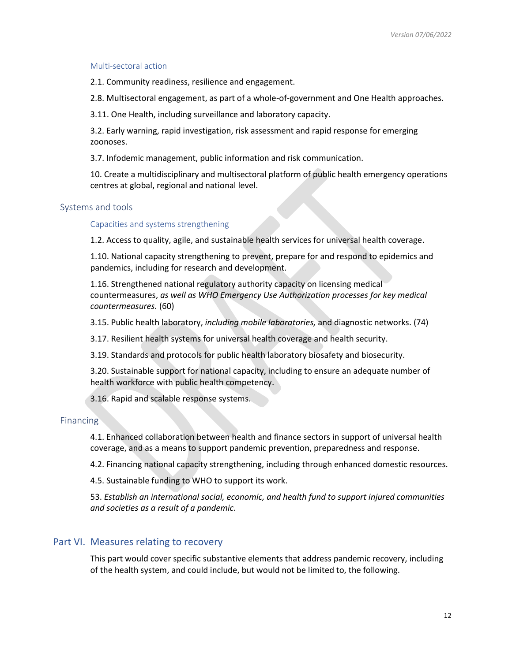### <span id="page-11-0"></span>Multi-sectoral action

2.1. Community readiness, resilience and engagement.

2.8. Multisectoral engagement, as part of a whole-of-government and One Health approaches.

3.11. One Health, including surveillance and laboratory capacity.

3.2. Early warning, rapid investigation, risk assessment and rapid response for emerging zoonoses.

3.7. Infodemic management, public information and risk communication.

10. Create a multidisciplinary and multisectoral platform of public health emergency operations centres at global, regional and national level.

### <span id="page-11-2"></span><span id="page-11-1"></span>Systems and tools

Capacities and systems strengthening

1.2. Access to quality, agile, and sustainable health services for universal health coverage.

1.10. National capacity strengthening to prevent, prepare for and respond to epidemics and pandemics, including for research and development.

1.16. Strengthened national regulatory authority capacity on licensing medical countermeasures, *as well as WHO Emergency Use Authorization processes for key medical countermeasures.* (60)

3.15. Public health laboratory, *including mobile laboratories,* and diagnostic networks. (74)

3.17. Resilient health systems for universal health coverage and health security.

3.19. Standards and protocols for public health laboratory biosafety and biosecurity.

3.20. Sustainable support for national capacity, including to ensure an adequate number of health workforce with public health competency.

3.16. Rapid and scalable response systems.

### <span id="page-11-3"></span>**Financing**

4.1. Enhanced collaboration between health and finance sectors in support of universal health coverage, and as a means to support pandemic prevention, preparedness and response.

4.2. Financing national capacity strengthening, including through enhanced domestic resources.

4.5. Sustainable funding to WHO to support its work.

53. *Establish an international social, economic, and health fund to support injured communities and societies as a result of a pandemic*.

# <span id="page-11-4"></span>Part VI. Measures relating to recovery

This part would cover specific substantive elements that address pandemic recovery, including of the health system, and could include, but would not be limited to, the following.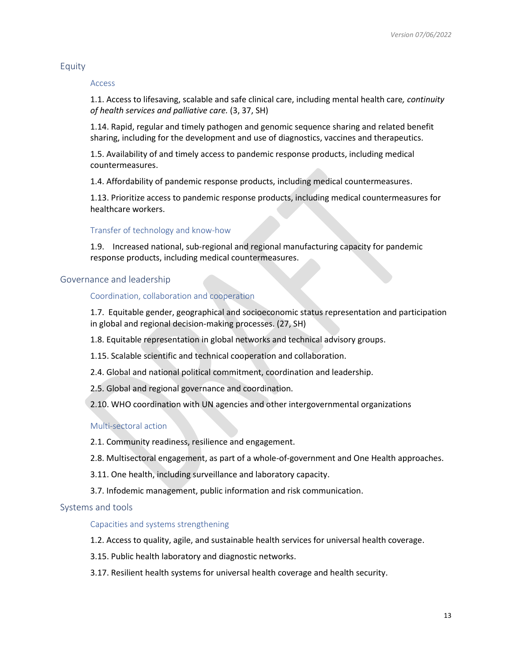### <span id="page-12-1"></span><span id="page-12-0"></span>Equity

#### Access

1.1. Access to lifesaving, scalable and safe clinical care, including mental health care*, continuity of health services and palliative care.* (3, 37, SH)

1.14. Rapid, regular and timely pathogen and genomic sequence sharing and related benefit sharing, including for the development and use of diagnostics, vaccines and therapeutics.

1.5. Availability of and timely access to pandemic response products, including medical countermeasures.

1.4. Affordability of pandemic response products, including medical countermeasures.

1.13. Prioritize access to pandemic response products, including medical countermeasures for healthcare workers.

#### <span id="page-12-2"></span>Transfer of technology and know-how

1.9. Increased national, sub-regional and regional manufacturing capacity for pandemic response products, including medical countermeasures.

#### <span id="page-12-4"></span><span id="page-12-3"></span>Governance and leadership

### Coordination, collaboration and cooperation

1.7. Equitable gender, geographical and socioeconomic status representation and participation in global and regional decision-making processes. (27, SH)

1.8. Equitable representation in global networks and technical advisory groups.

1.15. Scalable scientific and technical cooperation and collaboration.

2.4. Global and national political commitment, coordination and leadership.

2.5. Global and regional governance and coordination.

2.10. WHO coordination with UN agencies and other intergovernmental organizations

#### <span id="page-12-5"></span>Multi-sectoral action

2.1. Community readiness, resilience and engagement.

2.8. Multisectoral engagement, as part of a whole-of-government and One Health approaches.

3.11. One health, including surveillance and laboratory capacity.

3.7. Infodemic management, public information and risk communication.

#### <span id="page-12-7"></span><span id="page-12-6"></span>Systems and tools

### Capacities and systems strengthening

1.2. Access to quality, agile, and sustainable health services for universal health coverage.

3.15. Public health laboratory and diagnostic networks.

3.17. Resilient health systems for universal health coverage and health security.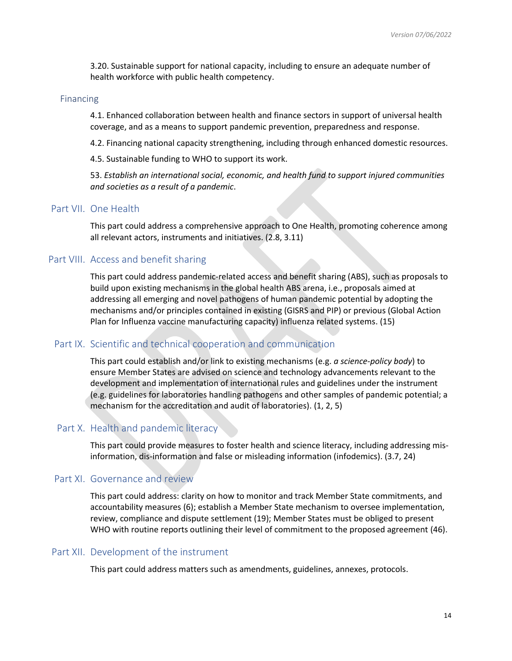3.20. Sustainable support for national capacity, including to ensure an adequate number of health workforce with public health competency.

#### <span id="page-13-0"></span>Financing

4.1. Enhanced collaboration between health and finance sectors in support of universal health coverage, and as a means to support pandemic prevention, preparedness and response.

4.2. Financing national capacity strengthening, including through enhanced domestic resources.

4.5. Sustainable funding to WHO to support its work.

53. *Establish an international social, economic, and health fund to support injured communities and societies as a result of a pandemic*.

# <span id="page-13-1"></span>Part VII. One Health

This part could address a comprehensive approach to One Health, promoting coherence among all relevant actors, instruments and initiatives. (2.8, 3.11)

# <span id="page-13-2"></span>Part VIII. Access and benefit sharing

This part could address pandemic-related access and benefit sharing (ABS), such as proposals to build upon existing mechanisms in the global health ABS arena, i.e., proposals aimed at addressing all emerging and novel pathogens of human pandemic potential by adopting the mechanisms and/or principles contained in existing (GISRS and PIP) or previous (Global Action Plan for Influenza vaccine manufacturing capacity) influenza related systems. (15)

# <span id="page-13-3"></span>Part IX. Scientific and technical cooperation and communication

This part could establish and/or link to existing mechanisms (e.g. *a science-policy body*) to ensure Member States are advised on science and technology advancements relevant to the development and implementation of international rules and guidelines under the instrument (e.g. guidelines for laboratories handling pathogens and other samples of pandemic potential; a mechanism for the accreditation and audit of laboratories). (1, 2, 5)

# <span id="page-13-4"></span>Part X. Health and pandemic literacy

This part could provide measures to foster health and science literacy, including addressing misinformation, dis-information and false or misleading information (infodemics). (3.7, 24)

# <span id="page-13-5"></span>Part XI. Governance and review

This part could address: clarity on how to monitor and track Member State commitments, and accountability measures (6); establish a Member State mechanism to oversee implementation, review, compliance and dispute settlement (19); Member States must be obliged to present WHO with routine reports outlining their level of commitment to the proposed agreement (46).

# <span id="page-13-6"></span>Part XII. Development of the instrument

This part could address matters such as amendments, guidelines, annexes, protocols.